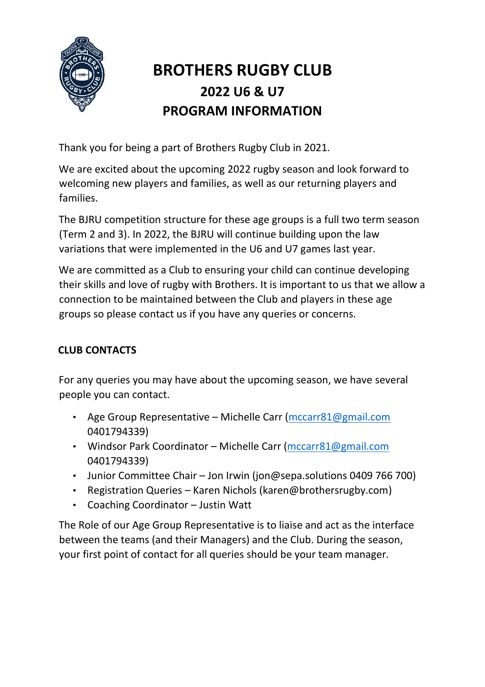

# **BROTHERS RUGBY CLUB 2022 U6 & U7 PROGRAM INFORMATION**

Thank you for being a part of Brothers Rugby Club in 2021.

We are excited about the upcoming 2022 rugby season and look forward to welcoming new players and families, as well as our returning players and families.

The BJRU competition structure for these age groups is a full two term season (Term 2 and 3). In 2022, the BJRU will continue building upon the law variations that were implemented in the U6 and U7 games last year.

We are committed as a Club to ensuring your child can continue developing their skills and love of rugby with Brothers. It is important to us that we allow a connection to be maintained between the Club and players in these age groups so please contact us if you have any queries or concerns.

# **CLUB CONTACTS**

For any queries you may have about the upcoming season, we have several people you can contact.

- Age Group Representative Michelle Carr [\(mccarr81@gmail.com](mailto:mccarr81@gmail.com) 0401794339)
- Windsor Park Coordinator Michelle Carr [\(mccarr81@gmail.com](mailto:mccarr81@gmail.com) 0401794339)
- Junior Committee Chair Jon Irwin (jon@sepa.solutions 0409 766 700)
- Registration Queries Karen Nichols (karen@brothersrugby.com)
- Coaching Coordinator Justin Watt

The Role of our Age Group Representative is to liaise and act as the interface between the teams (and their Managers) and the Club. During the season, your first point of contact for all queries should be your team manager.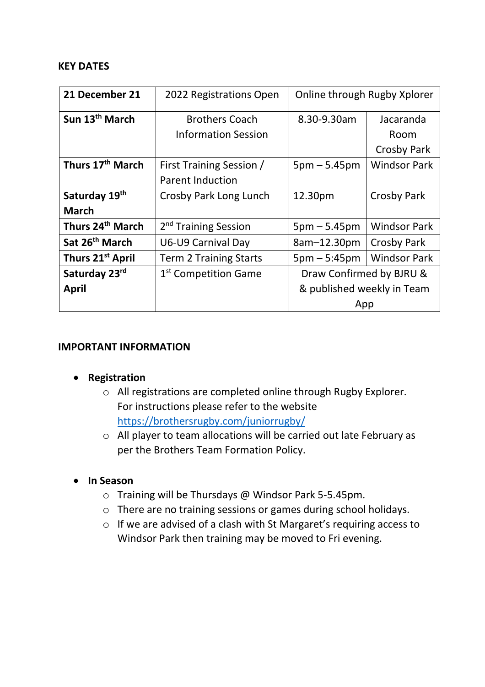#### **KEY DATES**

| 21 December 21               | 2022 Registrations Open          | Online through Rugby Xplorer |                     |
|------------------------------|----------------------------------|------------------------------|---------------------|
| Sun 13 <sup>th</sup> March   | <b>Brothers Coach</b>            | 8.30-9.30am                  | Jacaranda           |
|                              | <b>Information Session</b>       |                              | Room                |
|                              |                                  |                              | <b>Crosby Park</b>  |
| Thurs 17 <sup>th</sup> March | First Training Session /         | $5pm - 5.45pm$               | <b>Windsor Park</b> |
|                              | <b>Parent Induction</b>          |                              |                     |
| Saturday 19th                | Crosby Park Long Lunch           | 12.30pm                      | Crosby Park         |
| <b>March</b>                 |                                  |                              |                     |
| Thurs 24 <sup>th</sup> March | 2 <sup>nd</sup> Training Session | $5pm - 5.45pm$               | <b>Windsor Park</b> |
| Sat 26 <sup>th</sup> March   | U6-U9 Carnival Day               | 8am-12.30pm                  | <b>Crosby Park</b>  |
| Thurs 21 <sup>st</sup> April | <b>Term 2 Training Starts</b>    | $5pm - 5:45pm$               | <b>Windsor Park</b> |
| Saturday 23rd                | 1 <sup>st</sup> Competition Game | Draw Confirmed by BJRU &     |                     |
| <b>April</b>                 |                                  | & published weekly in Team   |                     |
|                              |                                  | App                          |                     |

#### **IMPORTANT INFORMATION**

- **Registration**
	- o All registrations are completed online through Rugby Explorer. For instructions please refer to the website <https://brothersrugby.com/juniorrugby/>
	- o All player to team allocations will be carried out late February as per the Brothers Team Formation Policy.
- **In Season**
	- o Training will be Thursdays @ Windsor Park 5-5.45pm.
	- o There are no training sessions or games during school holidays.
	- o If we are advised of a clash with St Margaret's requiring access to Windsor Park then training may be moved to Fri evening.